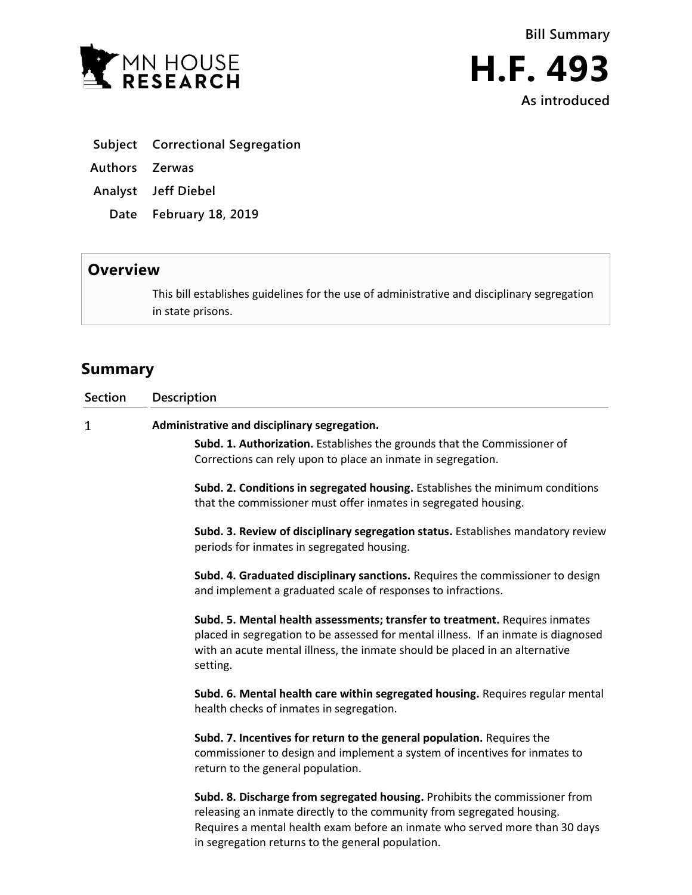



- **Subject Correctional Segregation**
- **Authors Zerwas**
- **Analyst Jeff Diebel**
	- **Date February 18, 2019**

## **Overview**

This bill establishes guidelines for the use of administrative and disciplinary segregation in state prisons.

## **Summary**

| <b>Section</b> | Description                                                                                                                                                                                                                                                                               |
|----------------|-------------------------------------------------------------------------------------------------------------------------------------------------------------------------------------------------------------------------------------------------------------------------------------------|
| 1              | Administrative and disciplinary segregation.                                                                                                                                                                                                                                              |
|                | Subd. 1. Authorization. Establishes the grounds that the Commissioner of<br>Corrections can rely upon to place an inmate in segregation.                                                                                                                                                  |
|                | Subd. 2. Conditions in segregated housing. Establishes the minimum conditions<br>that the commissioner must offer inmates in segregated housing.                                                                                                                                          |
|                | Subd. 3. Review of disciplinary segregation status. Establishes mandatory review<br>periods for inmates in segregated housing.                                                                                                                                                            |
|                | Subd. 4. Graduated disciplinary sanctions. Requires the commissioner to design<br>and implement a graduated scale of responses to infractions.                                                                                                                                            |
|                | Subd. 5. Mental health assessments; transfer to treatment. Requires inmates<br>placed in segregation to be assessed for mental illness. If an inmate is diagnosed<br>with an acute mental illness, the inmate should be placed in an alternative<br>setting.                              |
|                | Subd. 6. Mental health care within segregated housing. Requires regular mental<br>health checks of inmates in segregation.                                                                                                                                                                |
|                | Subd. 7. Incentives for return to the general population. Requires the<br>commissioner to design and implement a system of incentives for inmates to<br>return to the general population.                                                                                                 |
|                | Subd. 8. Discharge from segregated housing. Prohibits the commissioner from<br>releasing an inmate directly to the community from segregated housing.<br>Requires a mental health exam before an inmate who served more than 30 days<br>in segregation returns to the general population. |